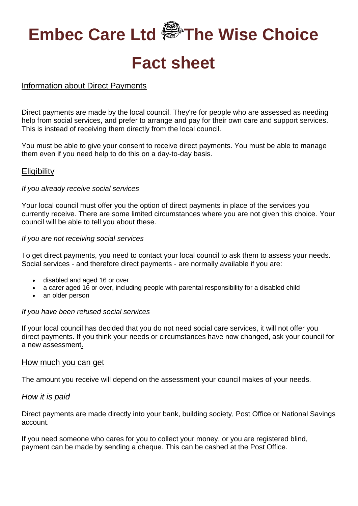# **Embec Care Ltd The Wise Choice Fact sheet**

# Information about Direct Payments

Direct payments are made by the local council. They're for people who are assessed as needing help from social services, and prefer to arrange and pay for their own care and support services. This is instead of receiving them directly from the local council.

You must be able to give your consent to receive direct payments. You must be able to manage them even if you need help to do this on a day-to-day basis.

# **Eligibility**

#### *If you already receive social services*

Your local council must offer you the option of direct payments in place of the services you currently receive. There are some limited circumstances where you are not given this choice. Your council will be able to tell you about these.

#### *If you are not receiving social services*

To get direct payments, you need to contact your local council to ask them to assess your needs. Social services - and therefore direct payments - are normally available if you are:

- disabled and aged 16 or over
- a carer aged 16 or over, including people with parental responsibility for a disabled child
- an older person

#### *If you have been refused social services*

If your local council has decided that you do not need social care services, it will not offer you direct payments. If you think your needs or circumstances have now changed, ask your council for a new assessment.

#### How much you can get

The amount you receive will depend on the assessment your council makes of your needs.

#### *How it is paid*

Direct payments are made directly into your bank, building society, Post Office or National Savings account.

If you need someone who cares for you to collect your money, or you are registered blind, payment can be made by sending a cheque. This can be cashed at the Post Office.